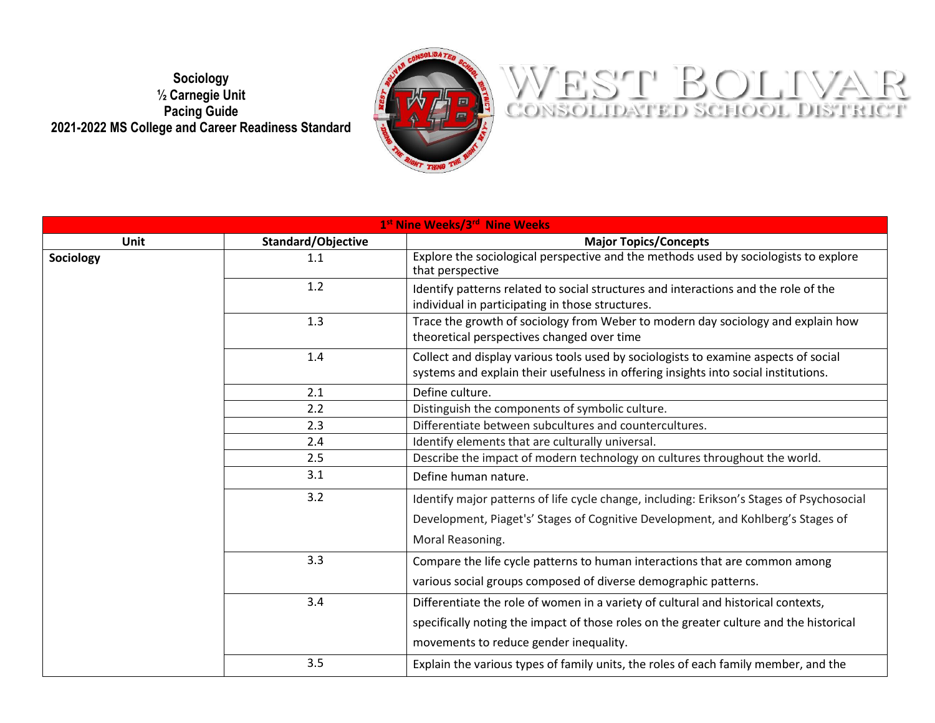**Sociology ½ Carnegie Unit Pacing Guide 2021-2022 MS College and Career Readiness Standard**



## WEST BOLIVAR

| 1st Nine Weeks/3rd Nine Weeks |                    |                                                                                                                                                                            |  |  |
|-------------------------------|--------------------|----------------------------------------------------------------------------------------------------------------------------------------------------------------------------|--|--|
| Unit                          | Standard/Objective | <b>Major Topics/Concepts</b>                                                                                                                                               |  |  |
| Sociology                     | 1.1                | Explore the sociological perspective and the methods used by sociologists to explore<br>that perspective                                                                   |  |  |
|                               | 1.2                | Identify patterns related to social structures and interactions and the role of the<br>individual in participating in those structures.                                    |  |  |
|                               | 1.3                | Trace the growth of sociology from Weber to modern day sociology and explain how<br>theoretical perspectives changed over time                                             |  |  |
|                               | 1.4                | Collect and display various tools used by sociologists to examine aspects of social<br>systems and explain their usefulness in offering insights into social institutions. |  |  |
|                               | 2.1                | Define culture.                                                                                                                                                            |  |  |
|                               | 2.2                | Distinguish the components of symbolic culture.                                                                                                                            |  |  |
|                               | 2.3                | Differentiate between subcultures and countercultures.                                                                                                                     |  |  |
|                               | 2.4                | Identify elements that are culturally universal.                                                                                                                           |  |  |
|                               | 2.5                | Describe the impact of modern technology on cultures throughout the world.                                                                                                 |  |  |
|                               | 3.1                | Define human nature.                                                                                                                                                       |  |  |
|                               | 3.2                | Identify major patterns of life cycle change, including: Erikson's Stages of Psychosocial                                                                                  |  |  |
|                               |                    | Development, Piaget's' Stages of Cognitive Development, and Kohlberg's Stages of                                                                                           |  |  |
|                               |                    | Moral Reasoning.                                                                                                                                                           |  |  |
|                               | 3.3                | Compare the life cycle patterns to human interactions that are common among                                                                                                |  |  |
|                               |                    | various social groups composed of diverse demographic patterns.                                                                                                            |  |  |
|                               | 3.4                | Differentiate the role of women in a variety of cultural and historical contexts,                                                                                          |  |  |
|                               |                    | specifically noting the impact of those roles on the greater culture and the historical                                                                                    |  |  |
|                               |                    | movements to reduce gender inequality.                                                                                                                                     |  |  |
|                               | 3.5                | Explain the various types of family units, the roles of each family member, and the                                                                                        |  |  |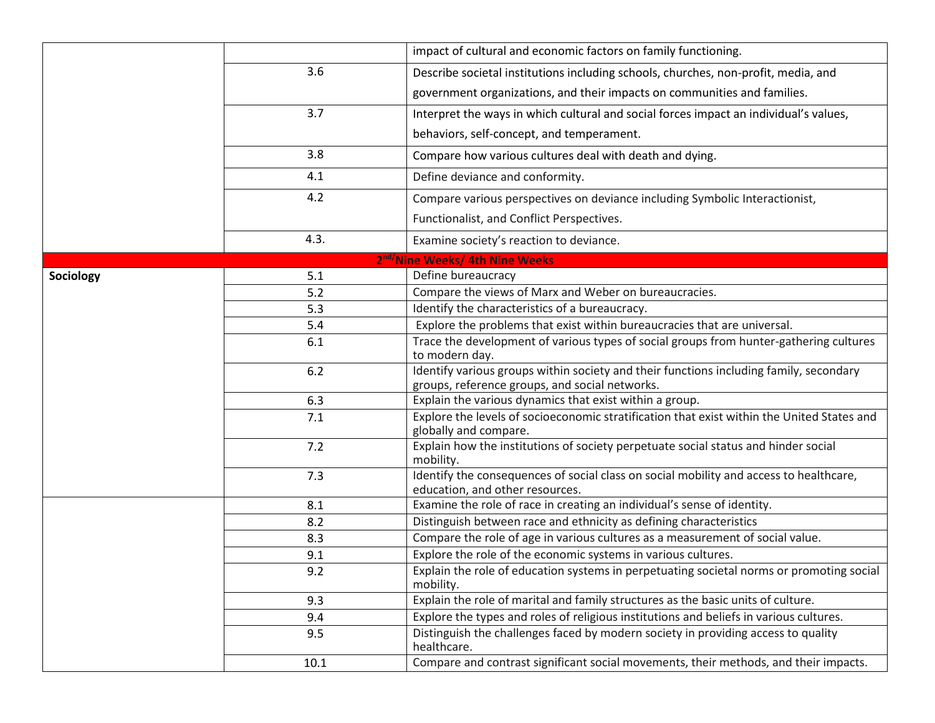|           |      | impact of cultural and economic factors on family functioning.                                                                           |
|-----------|------|------------------------------------------------------------------------------------------------------------------------------------------|
|           | 3.6  | Describe societal institutions including schools, churches, non-profit, media, and                                                       |
|           |      | government organizations, and their impacts on communities and families.                                                                 |
|           | 3.7  | Interpret the ways in which cultural and social forces impact an individual's values,                                                    |
|           |      | behaviors, self-concept, and temperament.                                                                                                |
|           | 3.8  | Compare how various cultures deal with death and dying.                                                                                  |
|           |      |                                                                                                                                          |
|           | 4.1  | Define deviance and conformity.                                                                                                          |
|           | 4.2  | Compare various perspectives on deviance including Symbolic Interactionist,                                                              |
|           |      | Functionalist, and Conflict Perspectives.                                                                                                |
|           | 4.3. | Examine society's reaction to deviance.                                                                                                  |
|           |      | 2 <sup>nd/</sup> Nine Weeks/ 4th Nine Weeks                                                                                              |
| Sociology | 5.1  | Define bureaucracy                                                                                                                       |
|           | 5.2  | Compare the views of Marx and Weber on bureaucracies.                                                                                    |
|           | 5.3  | Identify the characteristics of a bureaucracy.                                                                                           |
|           | 5.4  | Explore the problems that exist within bureaucracies that are universal.                                                                 |
|           | 6.1  | Trace the development of various types of social groups from hunter-gathering cultures<br>to modern day.                                 |
|           | 6.2  | Identify various groups within society and their functions including family, secondary<br>groups, reference groups, and social networks. |
|           | 6.3  | Explain the various dynamics that exist within a group.                                                                                  |
|           | 7.1  | Explore the levels of socioeconomic stratification that exist within the United States and<br>globally and compare.                      |
|           | 7.2  | Explain how the institutions of society perpetuate social status and hinder social<br>mobility.                                          |
|           | 7.3  | Identify the consequences of social class on social mobility and access to healthcare,<br>education, and other resources.                |
|           | 8.1  | Examine the role of race in creating an individual's sense of identity.                                                                  |
|           | 8.2  | Distinguish between race and ethnicity as defining characteristics                                                                       |
|           | 8.3  | Compare the role of age in various cultures as a measurement of social value.                                                            |
|           | 9.1  | Explore the role of the economic systems in various cultures.                                                                            |
|           | 9.2  | Explain the role of education systems in perpetuating societal norms or promoting social<br>mobility.                                    |
|           | 9.3  | Explain the role of marital and family structures as the basic units of culture.                                                         |
|           | 9.4  | Explore the types and roles of religious institutions and beliefs in various cultures.                                                   |
|           | 9.5  | Distinguish the challenges faced by modern society in providing access to quality<br>healthcare.                                         |
|           | 10.1 | Compare and contrast significant social movements, their methods, and their impacts.                                                     |